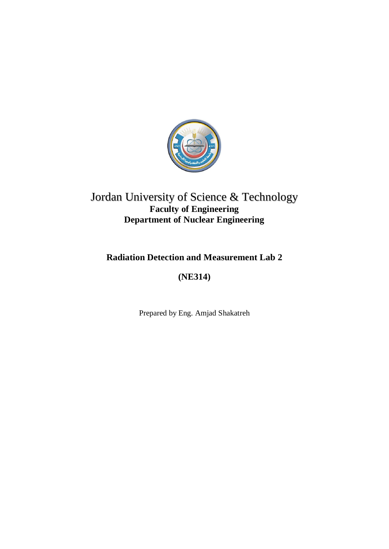

# Jordan University of Science & Technology **Faculty of Engineering Department of Nuclear Engineering**

# **Radiation Detection and Measurement Lab 2**

# **(NE314)**

Prepared by Eng. Amjad Shakatreh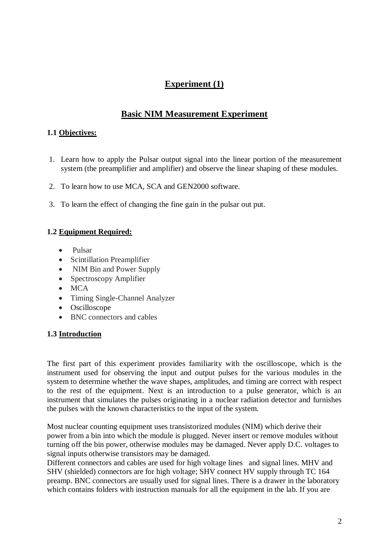# **Experiment (1)**

# **Basic NIM Measurement Experiment**

### **1.1 Objectives:**

- 1. Learn how to apply the Pulsar output signal into the linear portion of the measurement system (the preamplifier and amplifier) and observe the linear shaping of these modules.
- 2. To learn how to use MCA, SCA and GEN2000 software.
- 3. To learn the effect of changing the fine gain in the pulsar out put.

### **1.2 Equipment Required:**

- Pulsar
- Scintillation Preamplifier
- NIM Bin and Power Supply
- Spectroscopy Amplifier
- MCA
- Timing Single-Channel Analyzer
- Oscilloscope
- BNC connectors and cables

#### **1.3 Introduction**

The first part of this experiment provides familiarity with the oscilloscope, which is the instrument used for observing the input and output pulses for the various modules in the system to determine whether the wave shapes, amplitudes, and timing are correct with respect to the rest of the equipment. Next is an introduction to a pulse generator, which is an instrument that simulates the pulses originating in a nuclear radiation detector and furnishes the pulses with the known characteristics to the input of the system.

Most nuclear counting equipment uses transistorized modules (NIM) which derive their power from a bin into which the module is plugged. Never insert or remove modules without turning off the bin power, otherwise modules may be damaged. Never apply D.C. voltages to signal inputs otherwise transistors may be damaged.

Different connectors and cables are used for high voltage lines and signal lines. MHV and SHV (shielded) connectors are for high voltage; SHV connect HV supply through TC 164 preamp. BNC connectors are usually used for signal lines. There is a drawer in the laboratory which contains folders with instruction manuals for all the equipment in the lab. If you are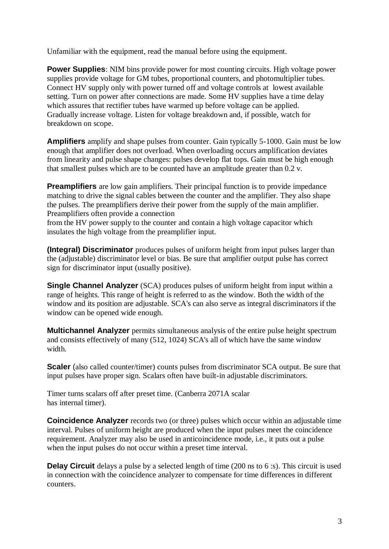Unfamiliar with the equipment, read the manual before using the equipment.

**Power Supplies:** NIM bins provide power for most counting circuits. High voltage power supplies provide voltage for GM tubes, proportional counters, and photomultiplier tubes. Connect HV supply only with power turned off and voltage controls at lowest available setting. Turn on power after connections are made. Some HV supplies have a time delay which assures that rectifier tubes have warmed up before voltage can be applied. Gradually increase voltage. Listen for voltage breakdown and, if possible, watch for breakdown on scope.

**Amplifiers** amplify and shape pulses from counter. Gain typically 5-1000. Gain must be low enough that amplifier does not overload. When overloading occurs amplification deviates from linearity and pulse shape changes: pulses develop flat tops. Gain must be high enough that smallest pulses which are to be counted have an amplitude greater than 0.2 v.

**Preamplifiers** are low gain amplifiers. Their principal function is to provide impedance matching to drive the signal cables between the counter and the amplifier. They also shape the pulses. The preamplifiers derive their power from the supply of the main amplifier. Preamplifiers often provide a connection

from the HV power supply to the counter and contain a high voltage capacitor which insulates the high voltage from the preamplifier input.

**(Integral) Discriminator** produces pulses of uniform height from input pulses larger than the (adjustable) discriminator level or bias. Be sure that amplifier output pulse has correct sign for discriminator input (usually positive).

**Single Channel Analyzer** *(SCA)* produces pulses of uniform height from input within a range of heights. This range of height is referred to as the window. Both the width of the window and its position are adjustable. SCA's can also serve as integral discriminators if the window can be opened wide enough.

**Multichannel Analyzer** permits simultaneous analysis of the entire pulse height spectrum and consists effectively of many (512, 1024) SCA's all of which have the same window width.

**Scaler** (also called counter/timer) counts pulses from discriminator SCA output. Be sure that input pulses have proper sign. Scalars often have built-in adjustable discriminators.

Timer turns scalars off after preset time. (Canberra 2071A scalar has internal timer).

**Coincidence Analyzer** records two (or three) pulses which occur within an adjustable time interval. Pulses of uniform height are produced when the input pulses meet the coincidence requirement. Analyzer may also be used in anticoincidence mode, i.e., it puts out a pulse when the input pulses do not occur within a preset time interval.

**Delay Circuit** delays a pulse by a selected length of time (200 ns to 6 :s). This circuit is used in connection with the coincidence analyzer to compensate for time differences in different counters.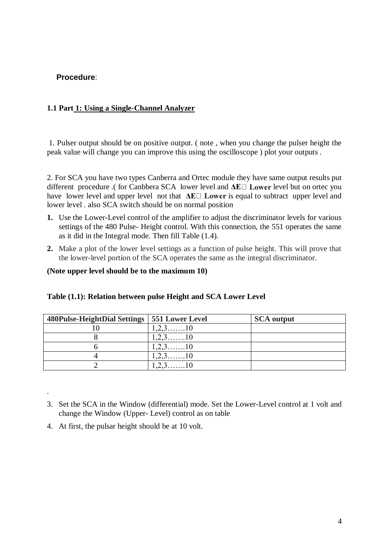## **Procedure**:

### **1.1 Part 1: Using a Single-Channel Analyzer**

1. Pulser output should be on positive output. ( note , when you change the pulser height the peak value will change you can improve this using the oscilloscope ) plot your outputs .

2. For SCA you have two types Canberra and Ortec module they have same output results put different procedure .( for Canbbera SCA lower level and ΔE□ Lower level but on ortec you have lower level and upper level not that **ΔE** is **Lower** is equal to subtract upper level and lower level . also SCA switch should be on normal position

- **1.** Use the Lower-Level control of the amplifier to adjust the discriminator levels for various settings of the 480 Pulse- Height control. With this connection, the 551 operates the same as it did in the Integral mode. Then fill Table (1.4).
- **2.** Make a plot of the lower level settings as a function of pulse height. This will prove that the lower-level portion of the SCA operates the same as the integral discriminator.

**(Note upper level should be to the maximum 10)**

| 480Pulse-HeightDial Settings   551 Lower Level |                       | <b>SCA</b> output |
|------------------------------------------------|-----------------------|-------------------|
|                                                | $1, 2, 3, \ldots, 10$ |                   |
|                                                |                       |                   |
|                                                | 2.310                 |                   |
|                                                | 2.310                 |                   |
|                                                |                       |                   |

#### **Table (1.1): Relation between pulse Height and SCA Lower Level**

- 3. Set the SCA in the Window (differential) mode. Set the Lower-Level control at 1 volt and change the Window (Upper- Level) control as on table
- 4. At first, the pulsar height should be at 10 volt.

.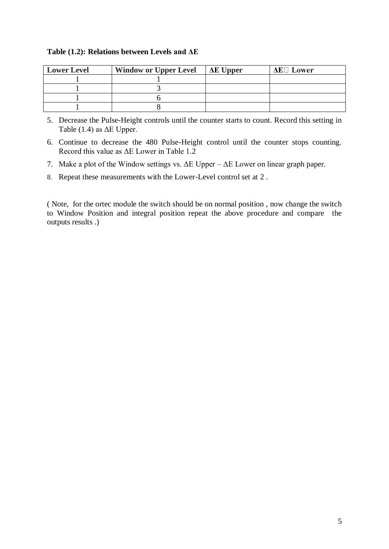#### **Table (1.2): Relations between Levels and ΔE**

| <b>Lower Level</b> | <b>Window or Upper Level</b> | $\Delta E$ Upper | $\Delta E \Box$ Lower |
|--------------------|------------------------------|------------------|-----------------------|
|                    |                              |                  |                       |
|                    |                              |                  |                       |
|                    |                              |                  |                       |
|                    |                              |                  |                       |

5. Decrease the Pulse-Height controls until the counter starts to count. Record this setting in Table  $(1.4)$  as  $\Delta E$  Upper.

6. Continue to decrease the 480 Pulse-Height control until the counter stops counting. Record this value as ΔE Lower in Table 1.2

7. Make a plot of the Window settings vs. ΔE Upper – ΔE Lower on linear graph paper.

8. Repeat these measurements with the Lower-Level control set at 2 .

( Note, for the ortec module the switch should be on normal position , now change the switch to Window Position and integral position repeat the above procedure and compare the outputs results .)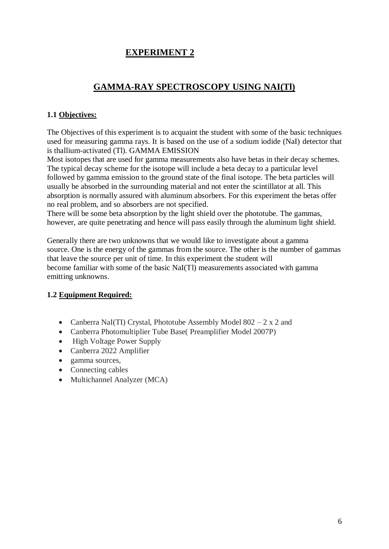# **GAMMA-RAY SPECTROSCOPY USING NAI(Tl)**

### **1.1 Objectives:**

The Objectives of this experiment is to acquaint the student with some of the basic techniques used for measuring gamma rays. It is based on the use of a sodium iodide (NaI) detector that is thallium-activated (Tl). GAMMA EMISSION

Most isotopes that are used for gamma measurements also have betas in their decay schemes. The typical decay scheme for the isotope will include a beta decay to a particular level followed by gamma emission to the ground state of the final isotope. The beta particles will usually be absorbed in the surrounding material and not enter the scintillator at all. This absorption is normally assured with aluminum absorbers. For this experiment the betas offer no real problem, and so absorbers are not specified.

There will be some beta absorption by the light shield over the phototube. The gammas, however, are quite penetrating and hence will pass easily through the aluminum light shield.

Generally there are two unknowns that we would like to investigate about a gamma source. One is the energy of the gammas from the source. The other is the number of gammas that leave the source per unit of time. In this experiment the student will become familiar with some of the basic NaI(Tl) measurements associated with gamma emitting unknowns.

## **1.2 Equipment Required:**

- Canberra NaI(TI) Crystal, Phototube Assembly Model  $802 2 \times 2$  and
- Canberra Photomultiplier Tube Base( Preamplifier Model 2007P)
- High Voltage Power Supply
- Canberra 2022 Amplifier
- gamma sources,
- Connecting cables
- Multichannel Analyzer (MCA)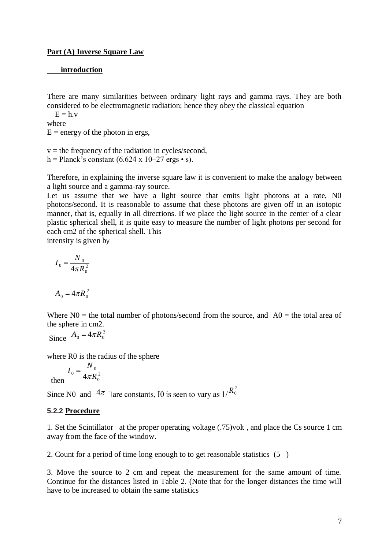#### **Part (A) Inverse Square Law**

#### **introduction**

There are many similarities between ordinary light rays and gamma rays. They are both considered to be electromagnetic radiation; hence they obey the classical equation

 $E = h.v$ where

 $E =$  energy of the photon in ergs,

 $v =$  the frequency of the radiation in cycles/second, h = Planck's constant  $(6.624 \times 10{-}27 \text{ ergs} \cdot \text{s})$ .

Therefore, in explaining the inverse square law it is convenient to make the analogy between a light source and a gamma-ray source.

Let us assume that we have a light source that emits light photons at a rate, N0 photons/second. It is reasonable to assume that these photons are given off in an isotopic manner, that is, equally in all directions. If we place the light source in the center of a clear plastic spherical shell, it is quite easy to measure the number of light photons per second for each cm2 of the spherical shell. This

intensity is given by

$$
I_0 = \frac{N_0}{4\pi R_0^2}
$$

$$
A_0 = 4\pi R_0^2
$$

Where  $N0$  = the total number of photons/second from the source, and  $A0$  = the total area of the sphere in cm2.

Since  $A_0 = 4\pi R_0^2$ 

where R0 is the radius of the sphere

then 
$$
I_0 = \frac{N_0}{4\pi R_0^2}
$$

Since N0 and  $4\pi$   $\Box$  are constants, 10 is seen to vary as  $1/R_0^2$ 

#### **5.2.2 Procedure**

1. Set the Scintillator at the proper operating voltage (.75)volt , and place the Cs source 1 cm away from the face of the window.

2. Count for a period of time long enough to to get reasonable statistics (5 )

3. Move the source to 2 cm and repeat the measurement for the same amount of time. Continue for the distances listed in Table 2. (Note that for the longer distances the time will have to be increased to obtain the same statistics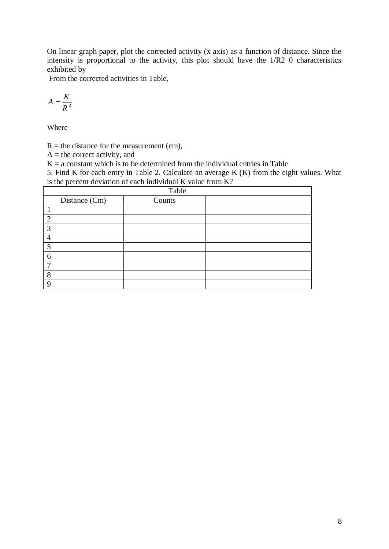On linear graph paper, plot the corrected activity (x axis) as a function of distance. Since the intensity is proportional to the activity, this plot should have the 1/R2 0 characteristics exhibited by

From the corrected activities in Table,

$$
A=\frac{K}{R^2}
$$

Where

 $R =$  the distance for the measurement (cm),

 $A =$  the correct activity, and

 $K = a$  constant which is to be determined from the individual entries in Table

5. Find K for each entry in Table 2. Calculate an average K (K) from the eight values. What is the percent deviation of each individual K value from K?

|                | Table         |        |  |  |  |  |
|----------------|---------------|--------|--|--|--|--|
|                | Distance (Cm) | Counts |  |  |  |  |
|                |               |        |  |  |  |  |
| 2              |               |        |  |  |  |  |
| 3              |               |        |  |  |  |  |
| $\overline{4}$ |               |        |  |  |  |  |
| 5              |               |        |  |  |  |  |
| 6              |               |        |  |  |  |  |
| $\mathcal{L}$  |               |        |  |  |  |  |
| 8              |               |        |  |  |  |  |
| $\mathbf Q$    |               |        |  |  |  |  |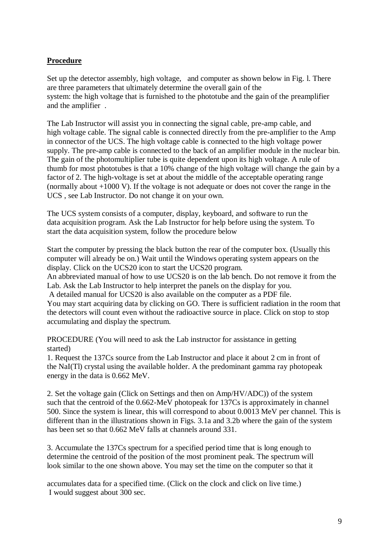### **Procedure**

Set up the detector assembly, high voltage, and computer as shown below in Fig. l. There are three parameters that ultimately determine the overall gain of the system: the high voltage that is furnished to the phototube and the gain of the preamplifier and the amplifier .

The Lab Instructor will assist you in connecting the signal cable, pre-amp cable, and high voltage cable. The signal cable is connected directly from the pre-amplifier to the Amp in connector of the UCS. The high voltage cable is connected to the high voltage power supply. The pre-amp cable is connected to the back of an amplifier module in the nuclear bin. The gain of the photomultiplier tube is quite dependent upon its high voltage. A rule of thumb for most phototubes is that a 10% change of the high voltage will change the gain by a factor of 2. The high-voltage is set at about the middle of the acceptable operating range (normally about +1000 V). If the voltage is not adequate or does not cover the range in the UCS , see Lab Instructor. Do not change it on your own.

The UCS system consists of a computer, display, keyboard, and software to run the data acquisition program. Ask the Lab Instructor for help before using the system. To start the data acquisition system, follow the procedure below

Start the computer by pressing the black button the rear of the computer box. (Usually this computer will already be on.) Wait until the Windows operating system appears on the display. Click on the UCS20 icon to start the UCS20 program.

An abbreviated manual of how to use UCS20 is on the lab bench. Do not remove it from the Lab. Ask the Lab Instructor to help interpret the panels on the display for you.

A detailed manual for UCS20 is also available on the computer as a PDF file.

You may start acquiring data by clicking on GO. There is sufficient radiation in the room that the detectors will count even without the radioactive source in place. Click on stop to stop accumulating and display the spectrum.

PROCEDURE (You will need to ask the Lab instructor for assistance in getting started)

1. Request the 137Cs source from the Lab Instructor and place it about 2 cm in front of the NaI(Tl) crystal using the available holder. A the predominant gamma ray photopeak energy in the data is 0.662 MeV.

2. Set the voltage gain (Click on Settings and then on Amp/HV/ADC)) of the system such that the centroid of the 0.662-MeV photopeak for 137Cs is approximately in channel 500. Since the system is linear, this will correspond to about 0.0013 MeV per channel. This is different than in the illustrations shown in Figs. 3.1a and 3.2b where the gain of the system has been set so that 0.662 MeV falls at channels around 331.

3. Accumulate the 137Cs spectrum for a specified period time that is long enough to determine the centroid of the position of the most prominent peak. The spectrum will look similar to the one shown above. You may set the time on the computer so that it

accumulates data for a specified time. (Click on the clock and click on live time.) I would suggest about 300 sec.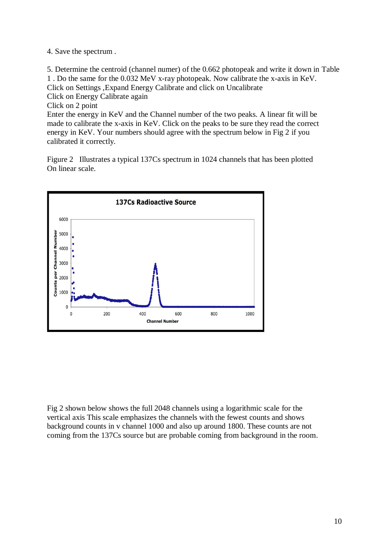4. Save the spectrum .

5. Determine the centroid (channel numer) of the 0.662 photopeak and write it down in Table 1 . Do the same for the 0.032 MeV x-ray photopeak. Now calibrate the x-axis in KeV. Click on Settings ,Expand Energy Calibrate and click on Uncalibrate Click on Energy Calibrate again Click on 2 point

Enter the energy in KeV and the Channel number of the two peaks. A linear fit will be made to calibrate the x-axis in KeV. Click on the peaks to be sure they read the correct energy in KeV. Your numbers should agree with the spectrum below in Fig 2 if you calibrated it correctly.

Figure 2 Illustrates a typical 137Cs spectrum in 1024 channels that has been plotted On linear scale.



Fig 2 shown below shows the full 2048 channels using a logarithmic scale for the vertical axis This scale emphasizes the channels with the fewest counts and shows background counts in v channel 1000 and also up around 1800. These counts are not coming from the 137Cs source but are probable coming from background in the room.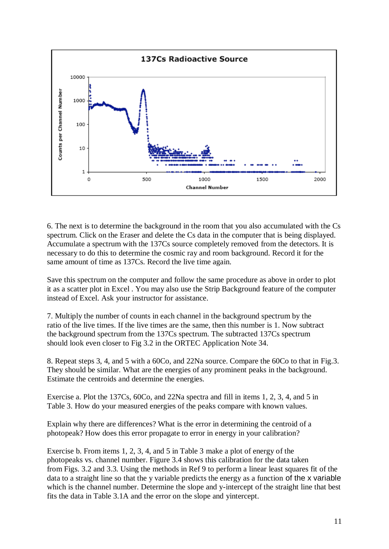

6. The next is to determine the background in the room that you also accumulated with the Cs spectrum. Click on the Eraser and delete the Cs data in the computer that is being displayed. Accumulate a spectrum with the 137Cs source completely removed from the detectors. It is necessary to do this to determine the cosmic ray and room background. Record it for the same amount of time as 137Cs. Record the live time again.

Save this spectrum on the computer and follow the same procedure as above in order to plot it as a scatter plot in Excel . You may also use the Strip Background feature of the computer instead of Excel. Ask your instructor for assistance.

7. Multiply the number of counts in each channel in the background spectrum by the ratio of the live times. If the live times are the same, then this number is 1. Now subtract the background spectrum from the 137Cs spectrum. The subtracted 137Cs spectrum should look even closer to Fig 3.2 in the ORTEC Application Note 34.

8. Repeat steps 3, 4, and 5 with a 60Co, and 22Na source. Compare the 60Co to that in Fig.3. They should be similar. What are the energies of any prominent peaks in the background. Estimate the centroids and determine the energies.

Exercise a. Plot the 137Cs, 60Co, and 22Na spectra and fill in items 1, 2, 3, 4, and 5 in Table 3. How do your measured energies of the peaks compare with known values.

Explain why there are differences? What is the error in determining the centroid of a photopeak? How does this error propagate to error in energy in your calibration?

Exercise b. From items 1, 2, 3, 4, and 5 in Table 3 make a plot of energy of the photopeaks vs. channel number. Figure 3.4 shows this calibration for the data taken from Figs. 3.2 and 3.3. Using the methods in Ref 9 to perform a linear least squares fit of the data to a straight line so that the y variable predicts the energy as a function of the x variable which is the channel number. Determine the slope and y-intercept of the straight line that best fits the data in Table 3.1A and the error on the slope and yintercept.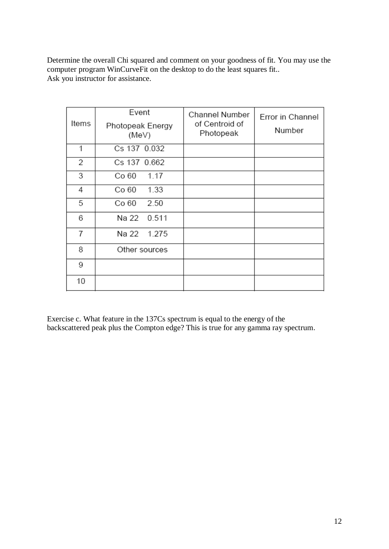Determine the overall Chi squared and comment on your goodness of fit. You may use the computer program WinCurveFit on the desktop to do the least squares fit.. Ask you instructor for assistance.

| Items | Event<br>Photopeak Energy<br>(MeV) | Channel Number<br>of Centroid of<br>Photopeak | Error in Channel<br>Number |  |
|-------|------------------------------------|-----------------------------------------------|----------------------------|--|
| 1     | Cs 137 0.032                       |                                               |                            |  |
| 2     | Cs 137 0.662                       |                                               |                            |  |
| 3     | Co 60<br>1.17                      |                                               |                            |  |
| 4     | 1.33<br>Co 60                      |                                               |                            |  |
| 5     | Co 60<br>2.50                      |                                               |                            |  |
| 6     | Na 22 0.511                        |                                               |                            |  |
| 7     | Na 22 1.275                        |                                               |                            |  |
| 8     | Other sources                      |                                               |                            |  |
| 9     |                                    |                                               |                            |  |
| 10    |                                    |                                               |                            |  |

Exercise c. What feature in the 137Cs spectrum is equal to the energy of the backscattered peak plus the Compton edge? This is true for any gamma ray spectrum.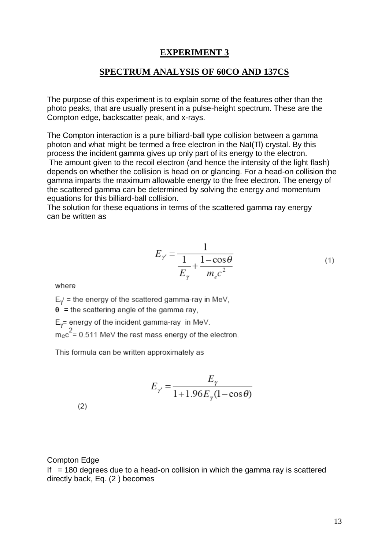#### **SPECTRUM ANALYSIS OF 60CO AND 137CS**

The purpose of this experiment is to explain some of the features other than the photo peaks, that are usually present in a pulse-height spectrum. These are the Compton edge, backscatter peak, and x-rays.

The Compton interaction is a pure billiard-ball type collision between a gamma photon and what might be termed a free electron in the NaI(Tl) crystal. By this process the incident gamma gives up only part of its energy to the electron.

The amount given to the recoil electron (and hence the intensity of the light flash) depends on whether the collision is head on or glancing. For a head-on collision the gamma imparts the maximum allowable energy to the free electron. The energy of the scattered gamma can be determined by solving the energy and momentum equations for this billiard-ball collision.

The solution for these equations in terms of the scattered gamma ray energy can be written as

$$
E_{\gamma} = \frac{1}{\frac{1}{E_{\gamma}} + \frac{1 - \cos \theta}{m_e c^2}}
$$
(1)

where

 $E_{\nu}$  = the energy of the scattered gamma-ray in MeV,

 $\theta$  = the scattering angle of the gamma ray,

 $E_y$  = energy of the incident gamma-ray in MeV.

 $m_ec^2$  = 0.511 MeV the rest mass energy of the electron.

This formula can be written approximately as

$$
E_{\gamma} = \frac{E_{\gamma}}{1 + 1.96 E_{\gamma} (1 - \cos \theta)}
$$

 $(2)$ 

#### Compton Edge

If  $= 180$  degrees due to a head-on collision in which the gamma ray is scattered directly back, Eq. (2 ) becomes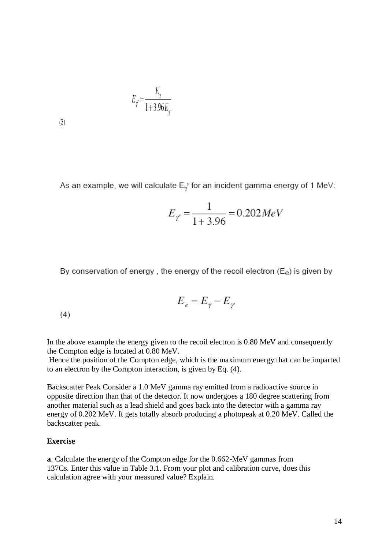$$
E_{\gamma} = \frac{E_{\gamma}}{1 + 3.96 E_{\gamma}}
$$

 $(3)$ 

As an example, we will calculate  $E_{\gamma}$  for an incident gamma energy of 1 MeV:

$$
E_{\gamma} = \frac{1}{1 + 3.96} = 0.202 MeV
$$

By conservation of energy, the energy of the recoil electron  $(E_e)$  is given by

$$
\boldsymbol{E}_{\scriptscriptstyle e} = \boldsymbol{E}_{\scriptscriptstyle \gamma} - \boldsymbol{E}_{\scriptscriptstyle \gamma}
$$

 $(4)$ 

In the above example the energy given to the recoil electron is 0.80 MeV and consequently the Compton edge is located at 0.80 MeV.

Hence the position of the Compton edge, which is the maximum energy that can be imparted to an electron by the Compton interaction, is given by Eq. (4).

Backscatter Peak Consider a 1.0 MeV gamma ray emitted from a radioactive source in opposite direction than that of the detector. It now undergoes a 180 degree scattering from another material such as a lead shield and goes back into the detector with a gamma ray energy of 0.202 MeV. It gets totally absorb producing a photopeak at 0.20 MeV. Called the backscatter peak.

#### **Exercise**

**a**. Calculate the energy of the Compton edge for the 0.662-MeV gammas from 137Cs. Enter this value in Table 3.1. From your plot and calibration curve, does this calculation agree with your measured value? Explain.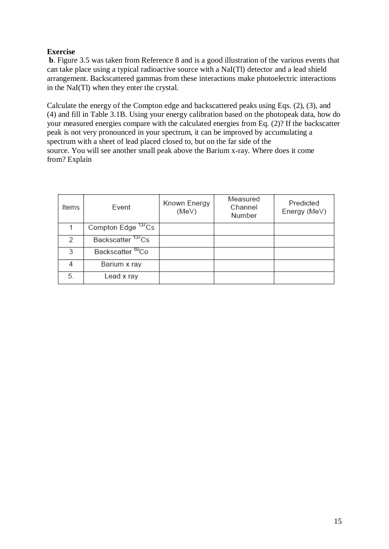### **Exercise**

**b**. Figure 3.5 was taken from Reference 8 and is a good illustration of the various events that can take place using a typical radioactive source with a NaI(Tl) detector and a lead shield arrangement. Backscattered gammas from these interactions make photoelectric interactions in the NaI(Tl) when they enter the crystal.

Calculate the energy of the Compton edge and backscattered peaks using Eqs. (2), (3), and (4) and fill in Table 3.1B. Using your energy calibration based on the photopeak data, how do your measured energies compare with the calculated energies from Eq. (2)? If the backscatter peak is not very pronounced in your spectrum, it can be improved by accumulating a spectrum with a sheet of lead placed closed to, but on the far side of the source. You will see another small peak above the Barium x-ray. Where does it come from? Explain

| Items | Event                         | Known Energy<br>(MeV) | Measured<br>Channel<br>Number | Predicted<br>Energy (MeV) |
|-------|-------------------------------|-----------------------|-------------------------------|---------------------------|
|       | Compton Edge 137Cs            |                       |                               |                           |
| 2     | Backscatter <sup>13/</sup> Cs |                       |                               |                           |
| 3     | Backscatter <sup>60</sup> Co  |                       |                               |                           |
|       | Barium x ray                  |                       |                               |                           |
| 5.    | Lead x ray                    |                       |                               |                           |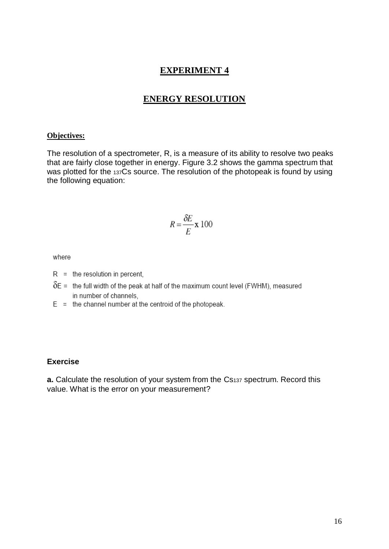### **ENERGY RESOLUTION**

#### **Objectives:**

The resolution of a spectrometer, R, is a measure of its ability to resolve two peaks that are fairly close together in energy. Figure 3.2 shows the gamma spectrum that was plotted for the 137Cs source. The resolution of the photopeak is found by using the following equation:

$$
R = \frac{\delta E}{E} \mathbf{x} \, 100
$$

where

- $R =$  the resolution in percent,
- $\delta$ E = the full width of the peak at half of the maximum count level (FWHM), measured in number of channels,
- $E =$  the channel number at the centroid of the photopeak.

#### **Exercise**

**a.** Calculate the resolution of your system from the Cs137 spectrum. Record this value. What is the error on your measurement?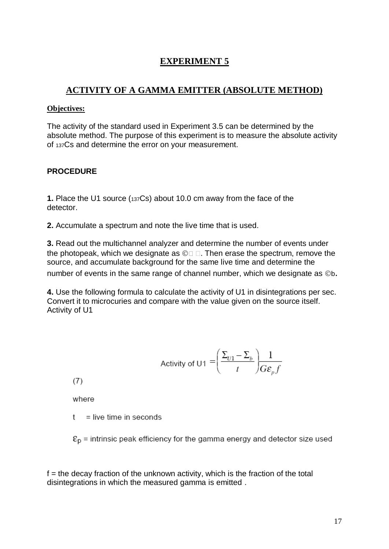# **ACTIVITY OF A GAMMA EMITTER (ABSOLUTE METHOD)**

### **Objectives:**

The activity of the standard used in Experiment 3.5 can be determined by the absolute method. The purpose of this experiment is to measure the absolute activity of 137Cs and determine the error on your measurement.

### **PROCEDURE**

**1.** Place the U1 source (137Cs) about 10.0 cm away from the face of the detector.

**2.** Accumulate a spectrum and note the live time that is used.

**3.** Read out the multichannel analyzer and determine the number of events under the photopeak, which we designate as  $\mathbb{O} \square \square$ . Then erase the spectrum, remove the source, and accumulate background for the same live time and determine the number of events in the same range of channel number, which we designate as  $©b$ .

**4.** Use the following formula to calculate the activity of U1 in disintegrations per sec. Convert it to microcuries and compare with the value given on the source itself. Activity of U1

Activity of U1 = 
$$
\left(\frac{\Sigma_{U1} - \Sigma_b}{t}\right) \frac{1}{G \varepsilon_p f}
$$

 $(7)$ 

where

 $t =$  live time in seconds

 $\epsilon_{\rm D}$  = intrinsic peak efficiency for the gamma energy and detector size used

 $f =$  the decay fraction of the unknown activity, which is the fraction of the total disintegrations in which the measured gamma is emitted .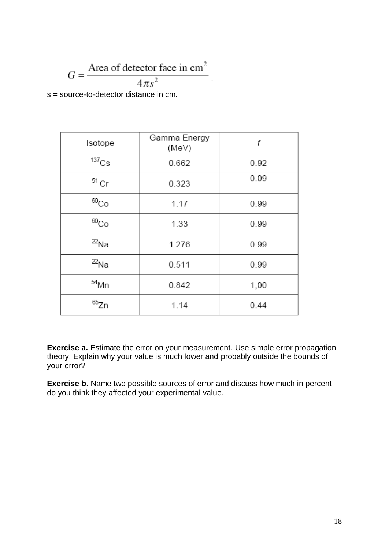$$
G = \frac{\text{Area of detector face in cm}^2}{4\pi s^2}
$$
  
ource-to-detector distance in cm

s = source-to-detector distance in cm.

| Isotope             | Gamma Energy<br>(MeV) | f    |
|---------------------|-----------------------|------|
| $^{137}\mathrm{Cs}$ | 0.662                 | 0.92 |
| $51$ Cr             | 0.323                 | 0.09 |
| $^{60}Co$           | 1.17                  | 0.99 |
| $^{60}Co$           | 1.33                  | 0.99 |
| $^{22}$ Na          | 1.276                 | 0.99 |
| $^{22}$ Na          | 0.511                 | 0.99 |
| $54$ Mn             | 0.842                 | 1,00 |
| 65Zn                | 1.14                  | 0.44 |

**Exercise a.** Estimate the error on your measurement. Use simple error propagation theory. Explain why your value is much lower and probably outside the bounds of your error?

**Exercise b.** Name two possible sources of error and discuss how much in percent do you think they affected your experimental value.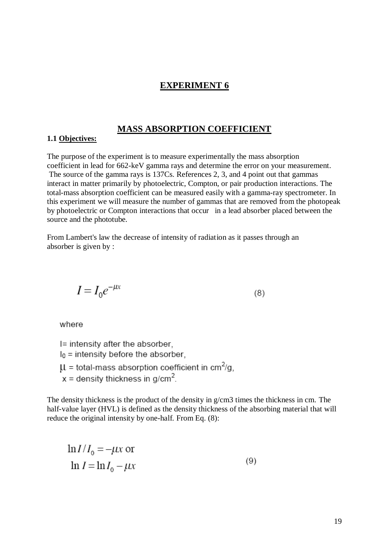#### **MASS ABSORPTION COEFFICIENT**

#### **1.1 Objectives:**

The purpose of the experiment is to measure experimentally the mass absorption coefficient in lead for 662-keV gamma rays and determine the error on your measurement.

The source of the gamma rays is 137Cs. References 2, 3, and 4 point out that gammas interact in matter primarily by photoelectric, Compton, or pair production interactions. The total-mass absorption coefficient can be measured easily with a gamma-ray spectrometer. In this experiment we will measure the number of gammas that are removed from the photopeak by photoelectric or Compton interactions that occur in a lead absorber placed between the source and the phototube.

From Lambert's law the decrease of intensity of radiation as it passes through an absorber is given by :

$$
I = I_0 e^{-\mu x} \tag{8}
$$

where

I= intensity after the absorber,  $I_0$  = intensity before the absorber,  $\mu$  = total-mass absorption coefficient in cm<sup>2</sup>/g,  $x =$  density thickness in g/cm<sup>2</sup>.

The density thickness is the product of the density in g/cm3 times the thickness in cm. The half-value layer (HVL) is defined as the density thickness of the absorbing material that will reduce the original intensity by one-half. From Eq. (8):

 $\ln I/I_0 = -\mu x$  or  $(9)$  $\ln I = \ln I_0 - \mu x$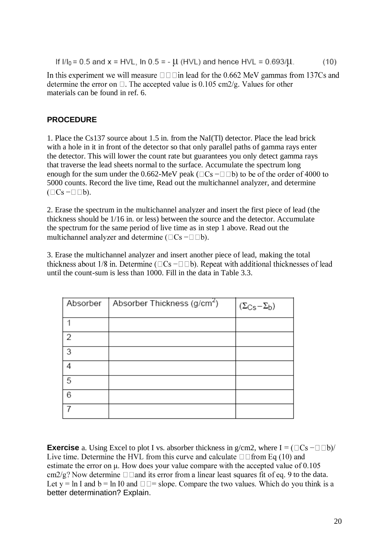If  $I/I_0 = 0.5$  and  $x = HVL$ , In  $0.5 = -\mu$  (HVL) and hence HVL = 0.693/ $\mu$ .  $(10)$ 

In this experiment we will measure  $\Box$   $\Box$  in lead for the 0.662 MeV gammas from 137Cs and determine the error on  $\Box$ . The accepted value is 0.105 cm2/g. Values for other materials can be found in ref. 6.

## **PROCEDURE**

1. Place the Cs137 source about 1.5 in. from the NaI(Tl) detector. Place the lead brick with a hole in it in front of the detector so that only parallel paths of gamma rays enter the detector. This will lower the count rate but guarantees you only detect gamma rays that traverse the lead sheets normal to the surface. Accumulate the spectrum long enough for the sum under the 0.662-MeV peak ( $\Box$ Cs  $-\Box$  $\Box$ b) to be of the order of 4000 to 5000 counts. Record the live time, Read out the multichannel analyzer, and determine  $(\Box Cs - \Box \Box b).$ 

2. Erase the spectrum in the multichannel analyzer and insert the first piece of lead (the thickness should be 1/16 in. or less) between the source and the detector. Accumulate the spectrum for the same period of live time as in step 1 above. Read out the multichannel analyzer and determine ( $\Box$ Cs  $-\Box$  $\Box$ b).

3. Erase the multichannel analyzer and insert another piece of lead, making the total thickness about 1/8 in. Determine ( $\Box Cs - \Box \Box b$ ). Repeat with additional thicknesses of lead until the count-sum is less than 1000. Fill in the data in Table 3.3.

| Absorber | Absorber Thickness (g/cm <sup>2</sup> ) | $(\Sigma_{\text{Cs}} - \Sigma_{\text{b}})$ |
|----------|-----------------------------------------|--------------------------------------------|
|          |                                         |                                            |
| 2        |                                         |                                            |
| 3        |                                         |                                            |
| 4        |                                         |                                            |
| 5        |                                         |                                            |
| 6        |                                         |                                            |
|          |                                         |                                            |

**Exercise** a. Using Excel to plot I vs. absorber thickness in  $g/cm2$ , where  $I = (\Box Cs - \Box \Box b)/$ Live time. Determine the HVL from this curve and calculate  $\square \square$  from Eq (10) and estimate the error on μ. How does your value compare with the accepted value of 0.105 cm2/g? Now determine  $\Box$   $\Box$  and its error from a linear least squares fit of eq. 9 to the data.<br>Let  $y = \ln I$  and  $b = \ln I0$  and  $\Box \Box =$  slope. Compare the two values. Which do you think is a better determination? Explain.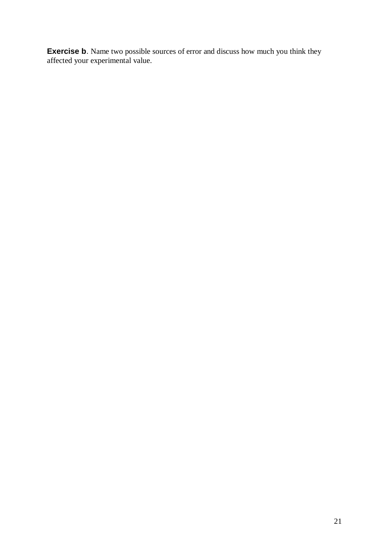**Exercise b**. Name two possible sources of error and discuss how much you think they affected your experimental value.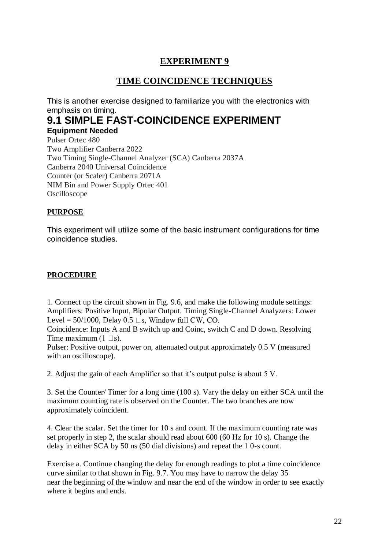# **TIME COINCIDENCE TECHNIQUES**

This is another exercise designed to familiarize you with the electronics with emphasis on timing.

## **9.1 SIMPLE FAST-COINCIDENCE EXPERIMENT Equipment Needed**

Pulser Ortec 480 Two Amplifier Canberra 2022 Two Timing Single-Channel Analyzer (SCA) Canberra 2037A Canberra 2040 Universal Coincidence Counter (or Scaler) Canberra 2071A NIM Bin and Power Supply Ortec 401 Oscilloscope

## **PURPOSE**

This experiment will utilize some of the basic instrument configurations for time coincidence studies.

## **PROCEDURE**

1. Connect up the circuit shown in Fig. 9.6, and make the following module settings: Amplifiers: Positive Input, Bipolar Output. Timing Single-Channel Analyzers: Lower Level =  $50/1000$ , Delay 0.5  $\Box$ s, Window full CW, CO.

Coincidence: Inputs A and B switch up and Coinc, switch C and D down. Resolving Time maximum  $(1 \Box s)$ .

Pulser: Positive output, power on, attenuated output approximately 0.5 V (measured with an oscilloscope).

2. Adjust the gain of each Amplifier so that it's output pulse is about 5 V.

3. Set the Counter/ Timer for a long time (100 s). Vary the delay on either SCA until the maximum counting rate is observed on the Counter. The two branches are now approximately coincident.

4. Clear the scalar. Set the timer for 10 s and count. If the maximum counting rate was set properly in step 2, the scalar should read about 600 (60 Hz for 10 s). Change the delay in either SCA by 50 ns (50 dial divisions) and repeat the 1 0-s count.

Exercise a. Continue changing the delay for enough readings to plot a time coincidence curve similar to that shown in Fig. 9.7. You may have to narrow the delay 35 near the beginning of the window and near the end of the window in order to see exactly where it begins and ends.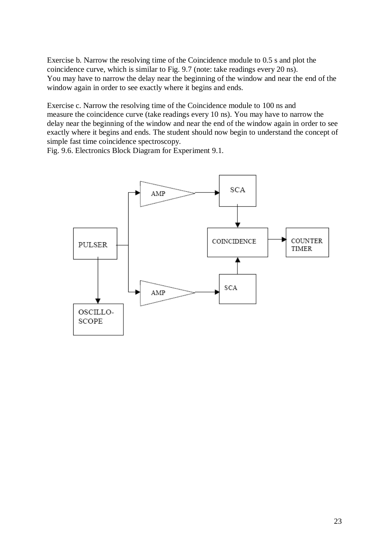Exercise b. Narrow the resolving time of the Coincidence module to 0.5 s and plot the coincidence curve, which is similar to Fig. 9.7 (note: take readings every 20 ns). You may have to narrow the delay near the beginning of the window and near the end of the window again in order to see exactly where it begins and ends.

Exercise c. Narrow the resolving time of the Coincidence module to 100 ns and measure the coincidence curve (take readings every 10 ns). You may have to narrow the delay near the beginning of the window and near the end of the window again in order to see exactly where it begins and ends. The student should now begin to understand the concept of simple fast time coincidence spectroscopy.

Fig. 9.6. Electronics Block Diagram for Experiment 9.1.

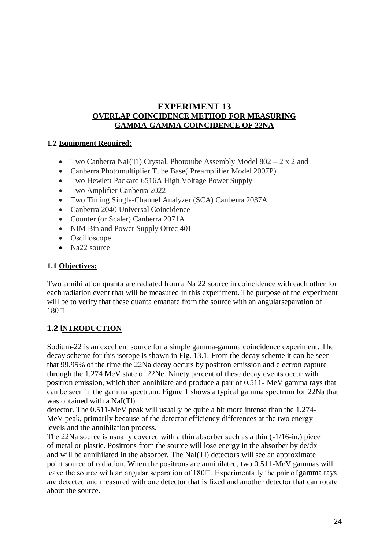## **EXPERIMENT 13 OVERLAP COINCIDENCE METHOD FOR MEASURING GAMMA-GAMMA COINCIDENCE OF 22NA**

# **1.2 Equipment Required:**

- Two Canberra NaI(TI) Crystal, Phototube Assembly Model  $802 2 \times 2$  and
- Canberra Photomultiplier Tube Base( Preamplifier Model 2007P)
- Two Hewlett Packard 6516A High Voltage Power Supply
- Two Amplifier Canberra 2022
- Two Timing Single-Channel Analyzer (SCA) Canberra 2037A
- Canberra 2040 Universal Coincidence
- Counter (or Scaler) Canberra 2071A
- NIM Bin and Power Supply Ortec 401
- Oscilloscope
- Na22 source

### **1.1 Objectives:**

Two annihilation quanta are radiated from a Na 22 source in coincidence with each other for each radiation event that will be measured in this experiment. The purpose of the experiment will be to verify that these quanta emanate from the source with an angular separation of 180口.

## **1.2 INTRODUCTION**

Sodium-22 is an excellent source for a simple gamma-gamma coincidence experiment. The decay scheme for this isotope is shown in Fig. 13.1. From the decay scheme it can be seen that 99.95% of the time the 22Na decay occurs by positron emission and electron capture through the 1.274 MeV state of 22Ne. Ninety percent of these decay events occur with positron emission, which then annihilate and produce a pair of 0.511- MeV gamma rays that can be seen in the gamma spectrum. Figure 1 shows a typical gamma spectrum for 22Na that was obtained with a NaI(Tl)

detector. The 0.511-MeV peak will usually be quite a bit more intense than the 1.274- MeV peak, primarily because of the detector efficiency differences at the two energy levels and the annihilation process.

The 22Na source is usually covered with a thin absorber such as a thin (-1/16-in.) piece of metal or plastic. Positrons from the source will lose energy in the absorber by de/dx and will be annihilated in the absorber. The NaI(Tl) detectors will see an approximate point source of radiation. When the positrons are annihilated, two 0.511-MeV gammas will leave the source with an angular separation of  $180\degree$ . Experimentally the pair of gamma rays are detected and measured with one detector that is fixed and another detector that can rotate about the source.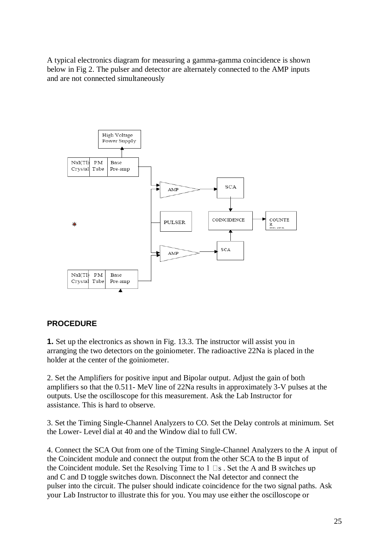A typical electronics diagram for measuring a gamma-gamma coincidence is shown below in Fig 2. The pulser and detector are alternately connected to the AMP inputs and are not connected simultaneously



## **PROCEDURE**

**1.** Set up the electronics as shown in Fig. 13.3. The instructor will assist you in arranging the two detectors on the goiniometer. The radioactive 22Na is placed in the holder at the center of the goiniometer.

2. Set the Amplifiers for positive input and Bipolar output. Adjust the gain of both amplifiers so that the 0.511- MeV line of 22Na results in approximately 3-V pulses at the outputs. Use the oscilloscope for this measurement. Ask the Lab Instructor for assistance. This is hard to observe.

3. Set the Timing Single-Channel Analyzers to CO. Set the Delay controls at minimum. Set the Lower- Level dial at 40 and the Window dial to full CW.

4. Connect the SCA Out from one of the Timing Single-Channel Analyzers to the A input of the Coincident module and connect the output from the other SCA to the B input of the Coincident module. Set the Resolving Time to  $1 \square s$ . Set the A and B switches up and C and D toggle switches down. Disconnect the NaI detector and connect the pulser into the circuit. The pulser should indicate coincidence for the two signal paths. Ask your Lab Instructor to illustrate this for you. You may use either the oscilloscope or